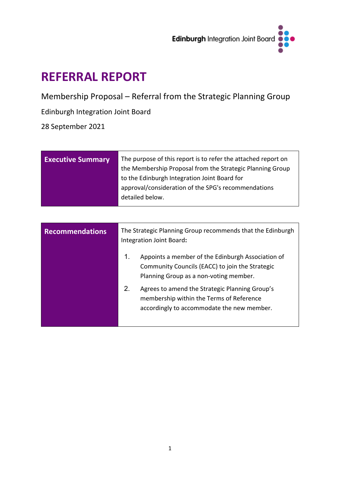

# **REFERRAL REPORT**

Membership Proposal – Referral from the Strategic Planning Group

# Edinburgh Integration Joint Board

28 September 2021

| <b>Executive Summary</b> | The purpose of this report is to refer the attached report on<br>the Membership Proposal from the Strategic Planning Group |  |  |  |  |
|--------------------------|----------------------------------------------------------------------------------------------------------------------------|--|--|--|--|
|                          | to the Edinburgh Integration Joint Board for                                                                               |  |  |  |  |
|                          | approval/consideration of the SPG's recommendations                                                                        |  |  |  |  |
|                          | detailed below.                                                                                                            |  |  |  |  |
|                          |                                                                                                                            |  |  |  |  |

| <b>Recommendations</b> | The Strategic Planning Group recommends that the Edinburgh<br>Integration Joint Board: |                                                                                                                                                |  |  |  |
|------------------------|----------------------------------------------------------------------------------------|------------------------------------------------------------------------------------------------------------------------------------------------|--|--|--|
|                        | $\mathbf{1}$ .                                                                         | Appoints a member of the Edinburgh Association of<br>Community Councils (EACC) to join the Strategic<br>Planning Group as a non-voting member. |  |  |  |
|                        | 2.                                                                                     | Agrees to amend the Strategic Planning Group's<br>membership within the Terms of Reference<br>accordingly to accommodate the new member.       |  |  |  |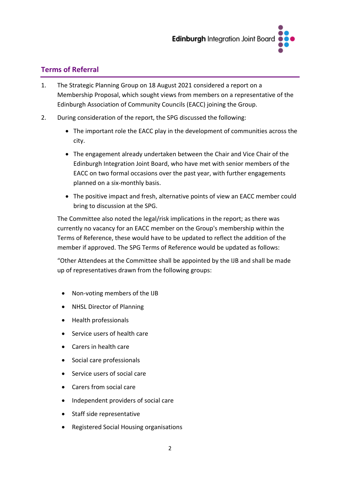

## **Terms of Referral**

- 1. The Strategic Planning Group on 18 August 2021 considered a report on a Membership Proposal, which sought views from members on a representative of the Edinburgh Association of Community Councils (EACC) joining the Group.
- 2. During consideration of the report, the SPG discussed the following:
	- The important role the EACC play in the development of communities across the city.
	- The engagement already undertaken between the Chair and Vice Chair of the Edinburgh Integration Joint Board, who have met with senior members of the EACC on two formal occasions over the past year, with further engagements planned on a six-monthly basis.
	- The positive impact and fresh, alternative points of view an EACC member could bring to discussion at the SPG.

The Committee also noted the legal/risk implications in the report; as there was currently no vacancy for an EACC member on the Group's membership within the Terms of Reference, these would have to be updated to reflect the addition of the member if approved. The SPG Terms of Reference would be updated as follows:

"Other Attendees at the Committee shall be appointed by the IJB and shall be made up of representatives drawn from the following groups:

- Non-voting members of the IJB
- NHSL Director of Planning
- Health professionals
- Service users of health care
- Carers in health care
- Social care professionals
- Service users of social care
- Carers from social care
- Independent providers of social care
- Staff side representative
- Registered Social Housing organisations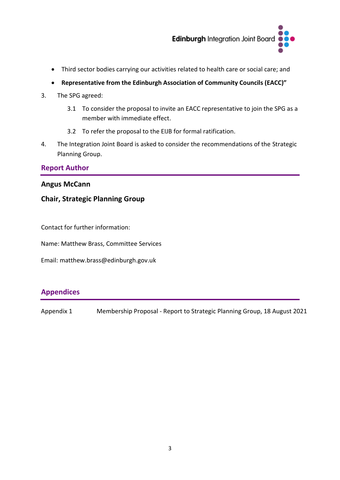

- Third sector bodies carrying our activities related to health care or social care; and
- **Representative from the Edinburgh Association of Community Councils (EACC)"**
- 3. The SPG agreed:
	- 3.1 To consider the proposal to invite an EACC representative to join the SPG as a member with immediate effect.
	- 3.2 To refer the proposal to the EIJB for formal ratification.
- 4. The Integration Joint Board is asked to consider the recommendations of the Strategic Planning Group.

### **Report Author**

#### **Angus McCann**

## **Chair, Strategic Planning Group**

Contact for further information:

Name: Matthew Brass, Committee Services

Email: matthew.brass@edinburgh.gov.uk

## **Appendices**

Appendix 1 Membership Proposal - Report to Strategic Planning Group, 18 August 2021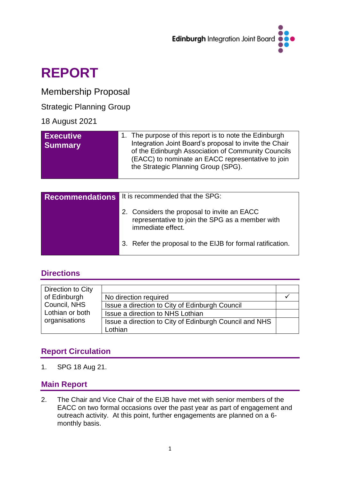

# **REPORT**

# Membership Proposal

## Strategic Planning Group

## 18 August 2021

| <b>Executive</b><br><b>Summary</b> | 1. The purpose of this report is to note the Edinburgh<br>Integration Joint Board's proposal to invite the Chair<br>of the Edinburgh Association of Community Councils<br>(EACC) to nominate an EACC representative to join<br>the Strategic Planning Group (SPG). |
|------------------------------------|--------------------------------------------------------------------------------------------------------------------------------------------------------------------------------------------------------------------------------------------------------------------|
|                                    |                                                                                                                                                                                                                                                                    |

| <b>Recommendations</b> It is recommended that the SPG:                                                              |  |  |
|---------------------------------------------------------------------------------------------------------------------|--|--|
| 2. Considers the proposal to invite an EACC<br>representative to join the SPG as a member with<br>immediate effect. |  |  |
| 3. Refer the proposal to the EIJB for formal ratification.                                                          |  |  |

# **Directions**

| Direction to City |                                                        |  |
|-------------------|--------------------------------------------------------|--|
| of Edinburgh      | No direction required                                  |  |
| Council, NHS      | Issue a direction to City of Edinburgh Council         |  |
| Lothian or both   | Issue a direction to NHS Lothian                       |  |
| organisations     | Issue a direction to City of Edinburgh Council and NHS |  |
|                   | Lothian                                                |  |

# **Report Circulation**

1. SPG 18 Aug 21.

## **Main Report**

2. The Chair and Vice Chair of the EIJB have met with senior members of the EACC on two formal occasions over the past year as part of engagement and outreach activity. At this point, further engagements are planned on a 6 monthly basis.